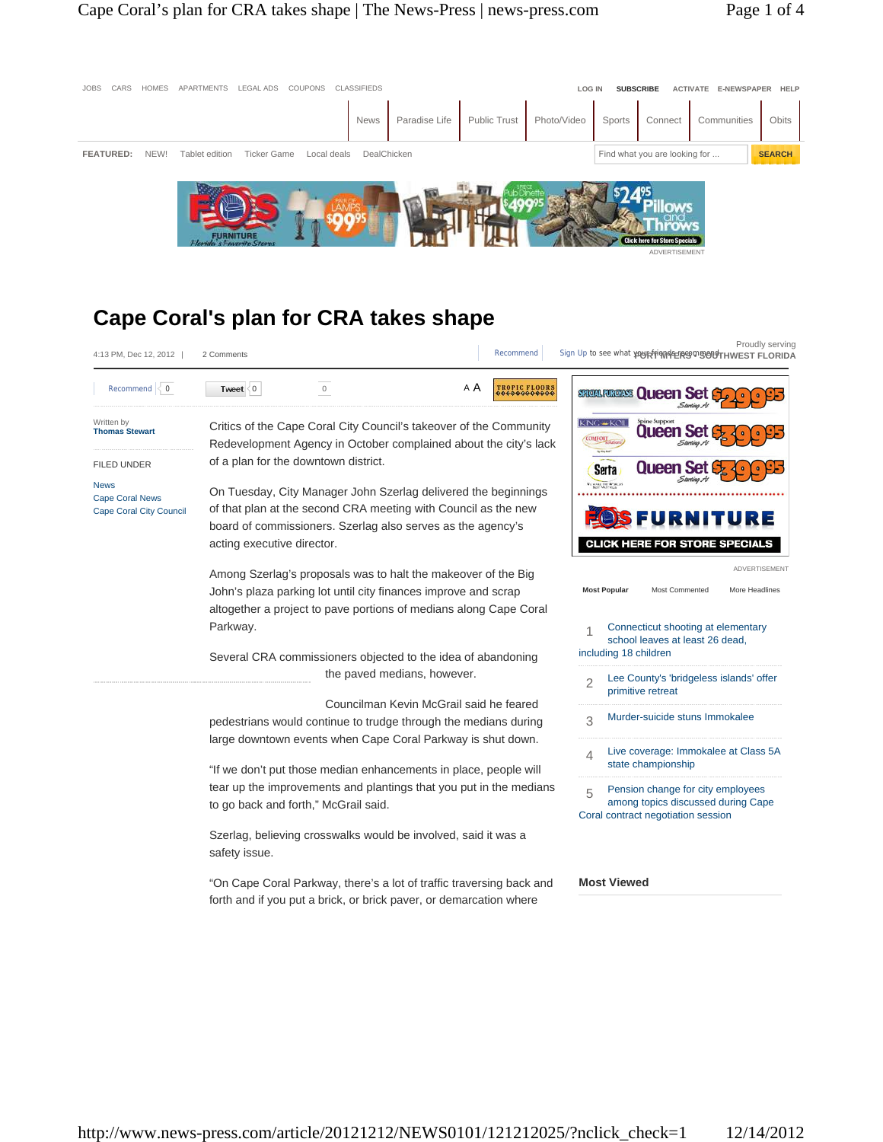# **Cape Coral's plan for CRA takes shape**

| 4:13 PM, Dec 12, 2012                                                   | 2 Comments                                                                                                                                                                                                                                                                                                                                                                                                                            | Si<br>Recommend      |
|-------------------------------------------------------------------------|---------------------------------------------------------------------------------------------------------------------------------------------------------------------------------------------------------------------------------------------------------------------------------------------------------------------------------------------------------------------------------------------------------------------------------------|----------------------|
| Recommend $\leq 0$                                                      | A A<br>Tweet<br>$\Omega$<br>$\circ$                                                                                                                                                                                                                                                                                                                                                                                                   | <b>FROPIC FLOORS</b> |
| Written by<br><b>Thomas Stewart</b>                                     | Critics of the Cape Coral City Council's takeover of the Community<br>Redevelopment Agency in October complained about the city's lack                                                                                                                                                                                                                                                                                                |                      |
| <b>FILED UNDER</b>                                                      | of a plan for the downtown district.                                                                                                                                                                                                                                                                                                                                                                                                  |                      |
| <b>News</b><br><b>Cape Coral News</b><br><b>Cape Coral City Council</b> | On Tuesday, City Manager John Szerlag delivered the beginnings<br>of that plan at the second CRA meeting with Council as the new<br>board of commissioners. Szerlag also serves as the agency's<br>acting executive director.<br>Among Szerlag's proposals was to halt the makeover of the Big<br>John's plaza parking lot until city finances improve and scrap<br>altogether a project to pave portions of medians along Cape Coral |                      |
|                                                                         | Parkway.<br>Several CRA commissioners objected to the idea of abandoning<br>the paved medians, however.                                                                                                                                                                                                                                                                                                                               |                      |
|                                                                         | Councilman Kevin McGrail said he feared<br>pedestrians would continue to trudge through the medians during<br>large downtown events when Cape Coral Parkway is shut down.                                                                                                                                                                                                                                                             |                      |

"If we don't put those median enhancements in place, people will tear up the improvements and plantings that you put in the medians to go back and forth," McGrail said.

Szerlag, believing crosswalks would be involved, said it was a safety issue.

"On Cape Coral Parkway, there's a lot of traffic traversing back and forth and if you put a brick, or brick paver, or demarcation where